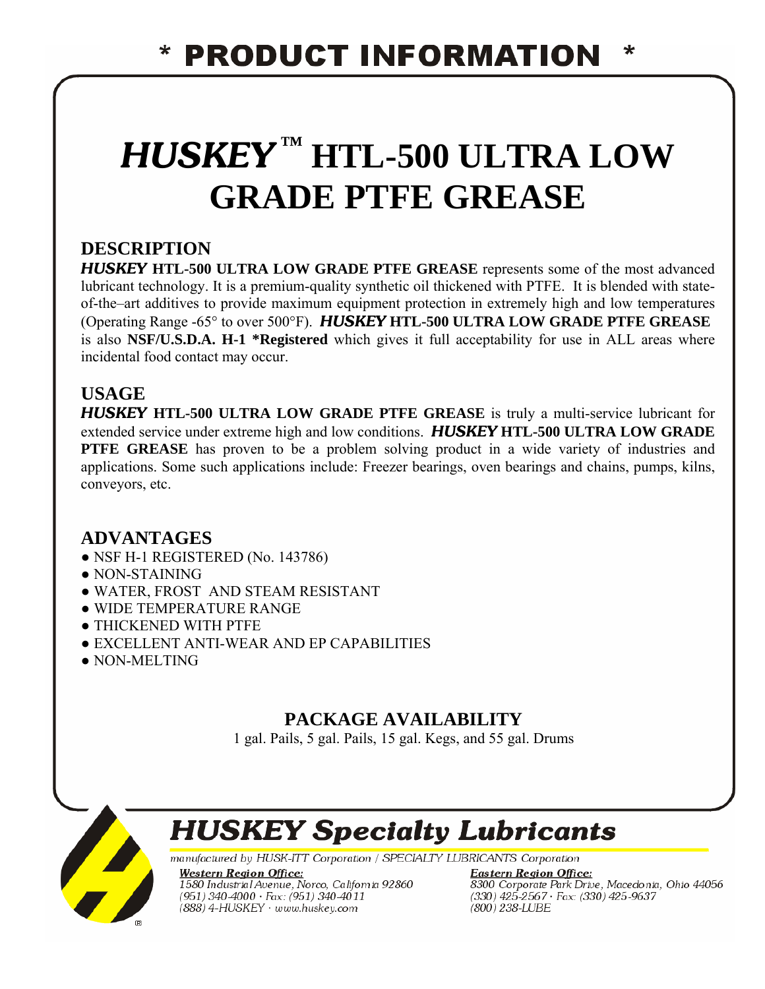# *HUSKEY* **™ HTL-500 ULTRA LOW GRADE PTFE GREASE**

## **DESCRIPTION**

*HUSKEY* **HTL-500 ULTRA LOW GRADE PTFE GREASE** represents some of the most advanced lubricant technology. It is a premium-quality synthetic oil thickened with PTFE. It is blended with stateof-the–art additives to provide maximum equipment protection in extremely high and low temperatures (Operating Range -65° to over 500°F). *HUSKEY* **HTL-500 ULTRA LOW GRADE PTFE GREASE** is also **NSF/U.S.D.A. H-1 \*Registered** which gives it full acceptability for use in ALL areas where incidental food contact may occur.

### **USAGE**

*HUSKEY* **HTL-500 ULTRA LOW GRADE PTFE GREASE** is truly a multi-service lubricant for extended service under extreme high and low conditions. *HUSKEY* **HTL-500 ULTRA LOW GRADE PTFE GREASE** has proven to be a problem solving product in a wide variety of industries and applications. Some such applications include: Freezer bearings, oven bearings and chains, pumps, kilns, conveyors, etc.

### **ADVANTAGES**

- NSF H-1 REGISTERED (No. 143786)
- NON-STAINING
- WATER, FROST AND STEAM RESISTANT
- WIDE TEMPERATURE RANGE
- THICKENED WITH PTFE
- EXCELLENT ANTI-WEAR AND EP CAPABILITIES
- NON-MELTING

# **PACKAGE AVAILABILITY**

1 gal. Pails, 5 gal. Pails, 15 gal. Kegs, and 55 gal. Drums



# **HUSKEY Specialty Lubricants**

manufactured by HUSK-ITT Corporation / SPECIALTY LUBRICANTS Corporation

**Western Region Office:** 1580 Industrial Avenue, Norco, California 92860  $(951)$  340-4000  $\cdot$  Fax: (951) 340-4011 (888) 4-HUSKEY · www.huskey.com

**Eastern Region Office: Eusein Region Office.**<br>8300 Corporate Park Drive, Macedonia, Ohio 44056<br>(330) 425-2567 · Fax: (330) 425-9637<br>(800) 238-LUBE